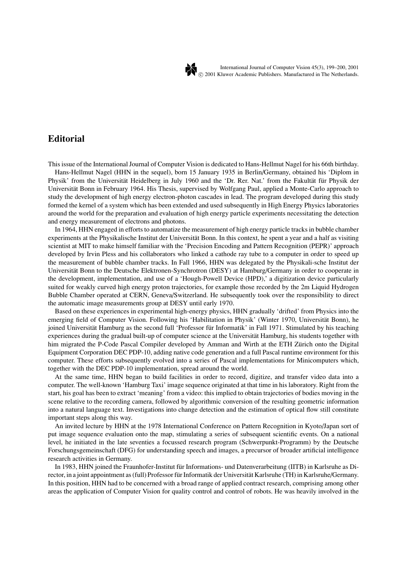

International Journal of Computer Vision 45(3), 199–200, 2001 -c 2001 Kluwer Academic Publishers. Manufactured in The Netherlands.

## **Editorial**

This issue of the International Journal of Computer Vision is dedicated to Hans-Hellmut Nagel for his 66th birthday.

Hans-Hellmut Nagel (HHN in the sequel), born 15 January 1935 in Berlin/Germany, obtained his 'Diplom in Physik' from the Universität Heidelberg in July 1960 and the 'Dr. Rer. Nat.' from the Fakultät für Physik der Universität Bonn in February 1964. His Thesis, supervised by Wolfgang Paul, applied a Monte-Carlo approach to study the development of high energy electron-photon cascades in lead. The program developed during this study formed the kernel of a system which has been extended and used subsequently in High Energy Physics laboratories around the world for the preparation and evaluation of high energy particle experiments necessitating the detection and energy measurement of electrons and photons.

In 1964, HHN engaged in efforts to automatize the measurement of high energy particle tracks in bubble chamber experiments at the Physikalische Institut der Universität Bonn. In this context, he spent a year and a half as visiting scientist at MIT to make himself familiar with the 'Precision Encoding and Pattern Recognition (PEPR)' approach developed by Irvin Pless and his collaborators who linked a cathode ray tube to a computer in order to speed up the measurement of bubble chamber tracks. In Fall 1966, HHN was delegated by the Physikali-sche Institut der Universität Bonn to the Deutsche Elektronen-Synchrotron (DESY) at Hamburg/Germany in order to cooperate in the development, implementation, and use of a 'Hough-Powell Device (HPD),' a digitization device particularly suited for weakly curved high energy proton trajectories, for example those recorded by the 2m Liquid Hydrogen Bubble Chamber operated at CERN, Geneva/Switzerland. He subsequently took over the responsibility to direct the automatic image measurements group at DESY until early 1970.

Based on these experiences in experimental high-energy physics, HHN gradually 'drifted' from Physics into the emerging field of Computer Vision. Following his 'Habilitation in Physik' (Winter 1970, Universität Bonn), he joined Universität Hamburg as the second full 'Professor für Informatik' in Fall 1971. Stimulated by his teaching experiences during the gradual built-up of computer science at the Universität Hamburg, his students together with him migrated the P-Code Pascal Compiler developed by Amman and Wirth at the ETH Zürich onto the Digital Equipment Corporation DEC PDP-10, adding native code generation and a full Pascal runtime environment for this computer. These efforts subsequently evolved into a series of Pascal implementations for Minicomputers which, together with the DEC PDP-10 implementation, spread around the world.

At the same time, HHN began to build facilities in order to record, digitize, and transfer video data into a computer. The well-known 'Hamburg Taxi' image sequence originated at that time in his laboratory. Right from the start, his goal has been to extract 'meaning' from a video: this implied to obtain trajectories of bodies moving in the scene relative to the recording camera, followed by algorithmic conversion of the resulting geometric information into a natural language text. Investigations into change detection and the estimation of optical flow still constitute important steps along this way.

An invited lecture by HHN at the 1978 International Conference on Pattern Recognition in Kyoto/Japan sort of put image sequence evaluation onto the map, stimulating a series of subsequent scientific events. On a national level, he initiated in the late seventies a focussed research program (Schwerpunkt-Programm) by the Deutsche Forschungsgemeinschaft (DFG) for understanding speech and images, a precursor of broader artificial intelligence research activities in Germany.

In 1983, HHN joined the Fraunhofer-Institut für Informations- und Datenverarbeitung (IITB) in Karlsruhe as Director, in a joint appointment as (full) Professor für Informatik der Universität Karlsruhe (TH) in Karlsruhe/Germany. In this position, HHN had to be concerned with a broad range of applied contract research, comprising among other areas the application of Computer Vision for quality control and control of robots. He was heavily involved in the